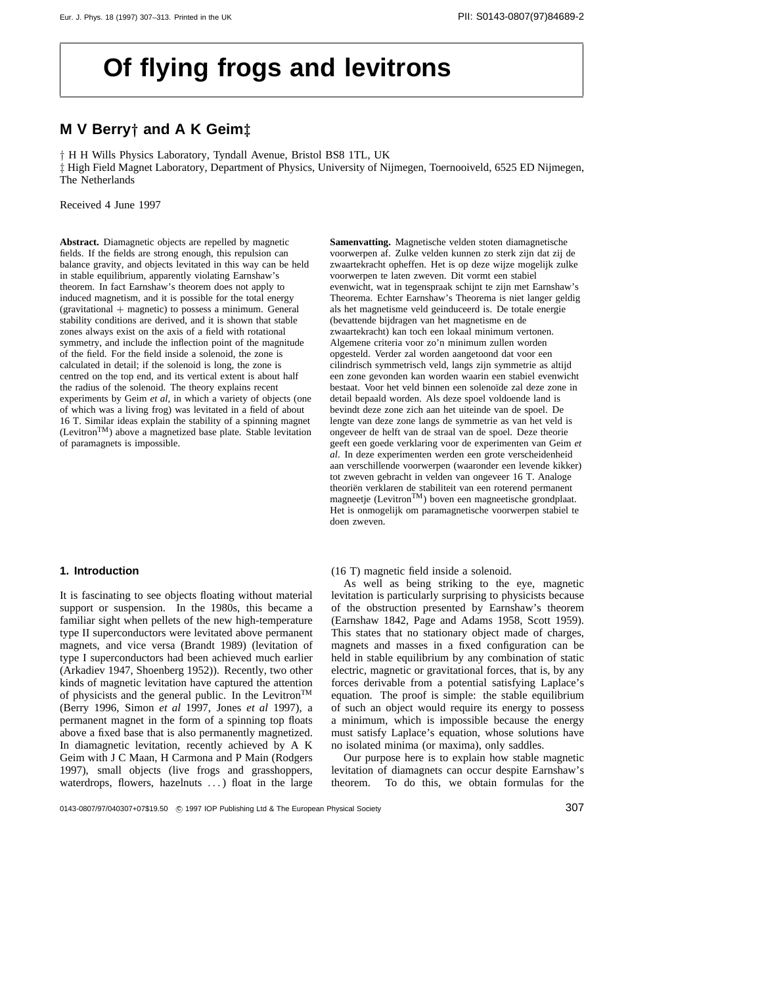# **Of flying frogs and levitrons**

# **M V Berry***†* **and A K Geim***‡*

*†* H H Wills Physics Laboratory, Tyndall Avenue, Bristol BS8 1TL, UK *‡* High Field Magnet Laboratory, Department of Physics, University of Nijmegen, Toernooiveld, 6525 ED Nijmegen, The Netherlands

Received 4 June 1997

**Abstract.** Diamagnetic objects are repelled by magnetic fields. If the fields are strong enough, this repulsion can balance gravity, and objects levitated in this way can be held in stable equilibrium, apparently violating Earnshaw's theorem. In fact Earnshaw's theorem does not apply to induced magnetism, and it is possible for the total energy (gravitational + magnetic) to possess a minimum. General stability conditions are derived, and it is shown that stable zones always exist on the axis of a field with rotational symmetry, and include the inflection point of the magnitude of the field. For the field inside a solenoid, the zone is calculated in detail; if the solenoid is long, the zone is centred on the top end, and its vertical extent is about half the radius of the solenoid. The theory explains recent experiments by Geim *et al*, in which a variety of objects (one of which was a living frog) was levitated in a field of about 16 T. Similar ideas explain the stability of a spinning magnet (LevitronTM) above a magnetized base plate. Stable levitation of paramagnets is impossible.

#### **1. Introduction**

It is fascinating to see objects floating without material support or suspension. In the 1980s, this became a familiar sight when pellets of the new high-temperature type II superconductors were levitated above permanent magnets, and vice versa (Brandt 1989) (levitation of type I superconductors had been achieved much earlier (Arkadiev 1947, Shoenberg 1952)). Recently, two other kinds of magnetic levitation have captured the attention of physicists and the general public. In the Levitron<sup>TM</sup> (Berry 1996, Simon *et al* 1997, Jones *et al* 1997), a permanent magnet in the form of a spinning top floats above a fixed base that is also permanently magnetized. In diamagnetic levitation, recently achieved by A K Geim with J C Maan, H Carmona and P Main (Rodgers 1997), small objects (live frogs and grasshoppers, waterdrops, flowers, hazelnuts *...*) float in the large **Samenvatting.** Magnetische velden stoten diamagnetische voorwerpen af. Zulke velden kunnen zo sterk zijn dat zij de zwaartekracht opheffen. Het is op deze wijze mogelijk zulke voorwerpen te laten zweven. Dit vormt een stabiel evenwicht, wat in tegenspraak schijnt te zijn met Earnshaw's Theorema. Echter Earnshaw's Theorema is niet langer geldig als het magnetisme veld geinduceerd is. De totale energie (bevattende bijdragen van het magnetisme en de zwaartekracht) kan toch een lokaal minimum vertonen. Algemene criteria voor zo'n minimum zullen worden opgesteld. Verder zal worden aangetoond dat voor een cilindrisch symmetrisch veld, langs zijn symmetrie as altijd een zone gevonden kan worden waarin een stabiel evenwicht bestaat. Voor het veld binnen een solenoïde zal deze zone in detail bepaald worden. Als deze spoel voldoende land is bevindt deze zone zich aan het uiteinde van de spoel. De lengte van deze zone langs de symmetrie as van het veld is ongeveer de helft van de straal van de spoel. Deze theorie geeft een goede verklaring voor de experimenten van Geim *et al*. In deze experimenten werden een grote verscheidenheid aan verschillende voorwerpen (waaronder een levende kikker) tot zweven gebracht in velden van ongeveer 16 T. Analoge theoriën verklaren de stabiliteit van een roterend permanent magneetje (Levitron™) boven een magneetische grondplaat. Het is onmogelijk om paramagnetische voorwerpen stabiel te doen zweven.

(16 T) magnetic field inside a solenoid.

As well as being striking to the eye, magnetic levitation is particularly surprising to physicists because of the obstruction presented by Earnshaw's theorem (Earnshaw 1842, Page and Adams 1958, Scott 1959). This states that no stationary object made of charges, magnets and masses in a fixed configuration can be held in stable equilibrium by any combination of static electric, magnetic or gravitational forces, that is, by any forces derivable from a potential satisfying Laplace's equation. The proof is simple: the stable equilibrium of such an object would require its energy to possess a minimum, which is impossible because the energy must satisfy Laplace's equation, whose solutions have no isolated minima (or maxima), only saddles.

Our purpose here is to explain how stable magnetic levitation of diamagnets can occur despite Earnshaw's theorem. To do this, we obtain formulas for the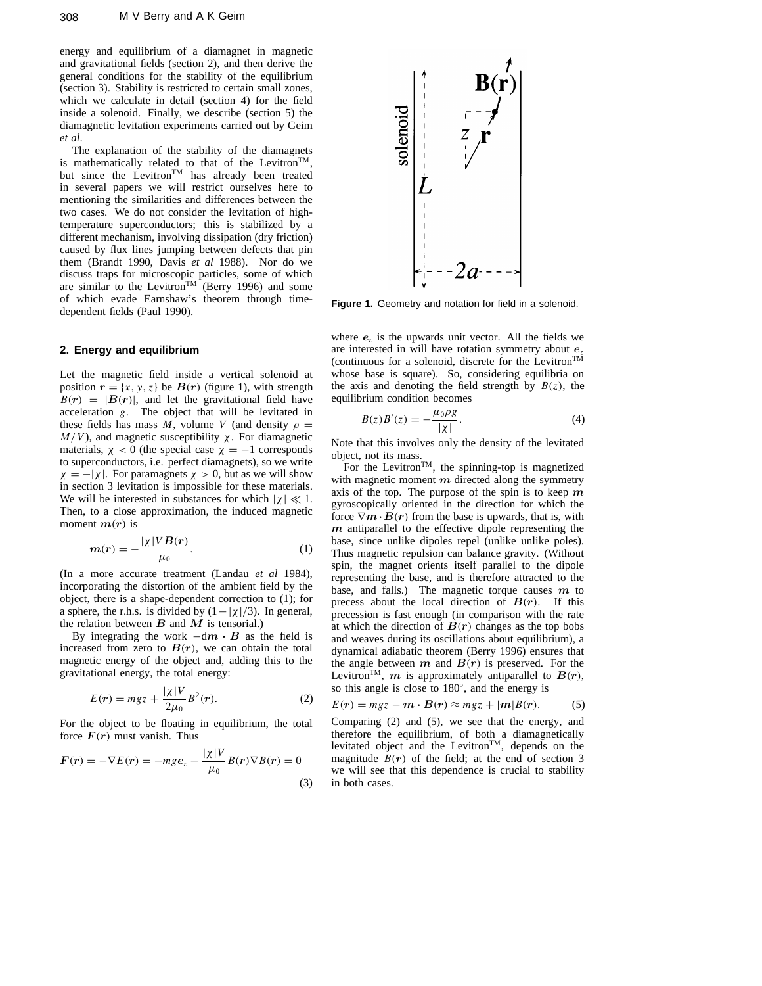energy and equilibrium of a diamagnet in magnetic and gravitational fields (section 2), and then derive the general conditions for the stability of the equilibrium (section 3). Stability is restricted to certain small zones, which we calculate in detail (section 4) for the field inside a solenoid. Finally, we describe (section 5) the diamagnetic levitation experiments carried out by Geim *et al*.

The explanation of the stability of the diamagnets is mathematically related to that of the Levitron<sup>TM</sup>, but since the Levitron<sup>TM</sup> has already been treated in several papers we will restrict ourselves here to mentioning the similarities and differences between the two cases. We do not consider the levitation of hightemperature superconductors; this is stabilized by a different mechanism, involving dissipation (dry friction) caused by flux lines jumping between defects that pin them (Brandt 1990, Davis *et al* 1988). Nor do we discuss traps for microscopic particles, some of which are similar to the Levitron<sup>TM</sup> (Berry 1996) and some of which evade Earnshaw's theorem through timedependent fields (Paul 1990).

## **2. Energy and equilibrium**

Let the magnetic field inside a vertical solenoid at position  $r = \{x, y, z\}$  be  $B(r)$  (figure 1), with strength  $B(r) = |B(r)|$ , and let the gravitational field have acceleration *g*. The object that will be levitated in these fields has mass *M*, volume *V* (and density  $\rho =$ *M/V*), and magnetic susceptibility  $χ$ . For diamagnetic materials,  $\chi$  < 0 (the special case  $\chi$  = −1 corresponds to superconductors, i.e. perfect diamagnets), so we write  $\chi = -|\chi|$ . For paramagnets  $\chi > 0$ , but as we will show in section 3 levitation is impossible for these materials. We will be interested in substances for which  $|\chi| \ll 1$ . Then, to a close approximation, the induced magnetic moment  $m(r)$  is

$$
m(r) = -\frac{|\chi| V B(r)}{\mu_0}.\tag{1}
$$

(In a more accurate treatment (Landau *et al* 1984), incorporating the distortion of the ambient field by the object, there is a shape-dependent correction to (1); for a sphere, the r.h.s. is divided by  $(1 - | \chi | / 3)$ . In general, the relation between  $B$  and  $M$  is tensorial.)

By integrating the work  $-dm \cdot B$  as the field is increased from zero to  $B(r)$ , we can obtain the total magnetic energy of the object and, adding this to the gravitational energy, the total energy:

$$
E(r) = mgz + \frac{|\chi|V}{2\mu_0}B^2(r).
$$
 (2)

For the object to be floating in equilibrium, the total force  $F(r)$  must vanish. Thus

$$
F(r) = -\nabla E(r) = -mg e_z - \frac{|\chi|V}{\mu_0} B(r) \nabla B(r) = 0
$$
\n(3)



**Figure 1.** Geometry and notation for field in a solenoid.

where  $e_z$  is the upwards unit vector. All the fields we are interested in will have rotation symmetry about *e<sup>z</sup>* (continuous for a solenoid, discrete for the LevitronTM whose base is square). So, considering equilibria on the axis and denoting the field strength by  $B(z)$ , the equilibrium condition becomes

$$
B(z)B'(z) = -\frac{\mu_0 \rho g}{|\chi|}.
$$
 (4)

Note that this involves only the density of the levitated object, not its mass.

For the Levitron<sup>TM</sup>, the spinning-top is magnetized with magnetic moment *m* directed along the symmetry axis of the top. The purpose of the spin is to keep *m* gyroscopically oriented in the direction for which the force  $\nabla m \cdot B(r)$  from the base is upwards, that is, with *m* antiparallel to the effective dipole representing the base, since unlike dipoles repel (unlike unlike poles). Thus magnetic repulsion can balance gravity. (Without spin, the magnet orients itself parallel to the dipole representing the base, and is therefore attracted to the base, and falls.) The magnetic torque causes *m* to precess about the local direction of  $B(r)$ . If this precession is fast enough (in comparison with the rate at which the direction of  $B(r)$  changes as the top bobs and weaves during its oscillations about equilibrium), a dynamical adiabatic theorem (Berry 1996) ensures that the angle between  $m$  and  $B(r)$  is preserved. For the Levitron<sup>TM</sup>,  $m$  is approximately antiparallel to  $B(r)$ , so this angle is close to 180◦, and the energy is

$$
E(r) = mgz - m \cdot B(r) \approx mgz + |m|B(r). \tag{5}
$$

Comparing (2) and (5), we see that the energy, and therefore the equilibrium, of both a diamagnetically levitated object and the Levitron<sup>TM</sup>, depends on the magnitude  $B(r)$  of the field; at the end of section 3 we will see that this dependence is crucial to stability in both cases.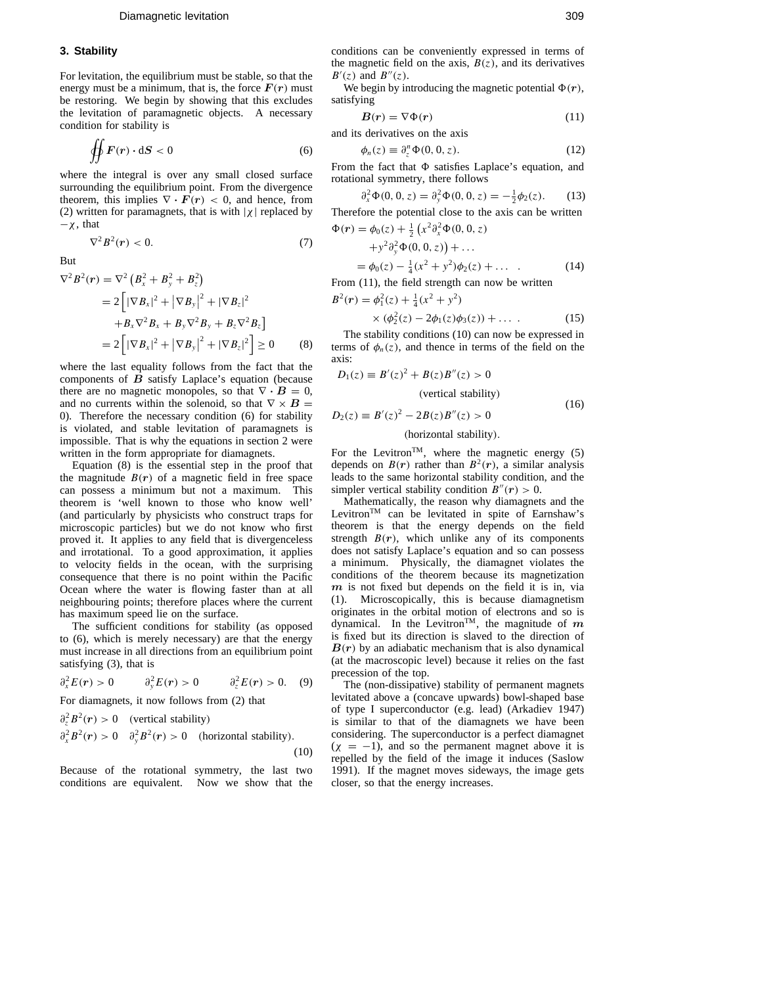#### **3. Stability**

For levitation, the equilibrium must be stable, so that the energy must be a minimum, that is, the force  $F(r)$  must be restoring. We begin by showing that this excludes the levitation of paramagnetic objects. A necessary condition for stability is

$$
\oint\oint F(r) \cdot dS < 0 \tag{6}
$$

where the integral is over any small closed surface surrounding the equilibrium point. From the divergence theorem, this implies  $\nabla \cdot \mathbf{F}(\mathbf{r}) < 0$ , and hence, from (2) written for paramagnets, that is with  $|\chi|$  replaced by  $-\chi$ , that

 $\nabla^2 B^2(r) < 0.$ (7)

But

$$
\nabla^2 B^2(r) = \nabla^2 (B_x^2 + B_y^2 + B_z^2)
$$
  
=  $2 [|\nabla B_x|^2 + |\nabla B_y|^2 + |\nabla B_z|^2$   
 $+ B_x \nabla^2 B_x + B_y \nabla^2 B_y + B_z \nabla^2 B_z]$   
=  $2 [|\nabla B_x|^2 + |\nabla B_y|^2 + |\nabla B_z|^2] \ge 0$  (8)

where the last equality follows from the fact that the components of  $\vec{B}$  satisfy Laplace's equation (because there are no magnetic monopoles, so that  $\nabla \cdot \mathbf{B} = 0$ , and no currents within the solenoid, so that  $\nabla \times \mathbf{B} =$ 0). Therefore the necessary condition (6) for stability is violated, and stable levitation of paramagnets is impossible. That is why the equations in section 2 were written in the form appropriate for diamagnets.

Equation (8) is the essential step in the proof that the magnitude  $B(r)$  of a magnetic field in free space can possess a minimum but not a maximum. This theorem is 'well known to those who know well' (and particularly by physicists who construct traps for microscopic particles) but we do not know who first proved it. It applies to any field that is divergenceless and irrotational. To a good approximation, it applies to velocity fields in the ocean, with the surprising consequence that there is no point within the Pacific Ocean where the water is flowing faster than at all neighbouring points; therefore places where the current has maximum speed lie on the surface.

The sufficient conditions for stability (as opposed to (6), which is merely necessary) are that the energy must increase in all directions from an equilibrium point satisfying (3), that is

$$
\partial_x^2 E(r) > 0 \qquad \partial_y^2 E(r) > 0 \qquad \partial_z^2 E(r) > 0. \quad (9)
$$

For diamagnets, it now follows from (2) that

$$
\partial_z^2 B^2(r) > 0 \quad \text{(vertical stability)}
$$
\n
$$
\partial_x^2 B^2(r) > 0 \quad \partial_y^2 B^2(r) > 0 \quad \text{(horizontal stability)}.
$$
\n
$$
(10)
$$

Because of the rotational symmetry, the last two conditions are equivalent. Now we show that the conditions can be conveniently expressed in terms of the magnetic field on the axis,  $B(z)$ , and its derivatives  $B'(z)$  and  $B''(z)$ .

We begin by introducing the magnetic potential  $\Phi(r)$ , satisfying

$$
B(r) = \nabla \Phi(r) \tag{11}
$$

and its derivatives on the axis

$$
\phi_n(z) \equiv \partial_z^n \Phi(0, 0, z). \tag{12}
$$

From the fact that  $\Phi$  satisfies Laplace's equation, and rotational symmetry, there follows

$$
\partial_x^2 \Phi(0,0,z) = \partial_y^2 \Phi(0,0,z) = -\frac{1}{2}\phi_2(z). \tag{13}
$$

Therefore the potential close to the axis can be written  $\Phi(r) = \phi_0(z) + \frac{1}{2} \left( x^2 \partial_x^2 \Phi(0, 0, z) \right)$ 

$$
+y^{2} \partial_{y}^{2} \Phi(0, 0, z) + ...
$$
  
=  $\phi_{0}(z) - \frac{1}{4} (x^{2} + y^{2}) \phi_{2}(z) + ...$  (14)

From (11), the field strength can now be written

$$
B^{2}(r) = \phi_{1}^{2}(z) + \frac{1}{4}(x^{2} + y^{2})
$$

$$
\times (\phi_2^2(z) - 2\phi_1(z)\phi_3(z)) + \dots \tag{15}
$$

The stability conditions (10) can now be expressed in terms of  $\phi_n(z)$ , and thence in terms of the field on the axis:

$$
D_1(z) \equiv B'(z)^2 + B(z)B''(z) > 0
$$
  
(vertical stability)  

$$
D_2(z) \equiv B'(z)^2 - 2B(z)B''(z) > 0
$$
 (16)

#### *(*horizontal stability*).*

For the Levitron<sup>TM</sup>, where the magnetic energy  $(5)$ depends on  $B(r)$  rather than  $B^2(r)$ , a similar analysis leads to the same horizontal stability condition, and the simpler vertical stability condition  $B''(r) > 0$ .

Mathematically, the reason why diamagnets and the Levitron<sup>TM</sup> can be levitated in spite of Earnshaw's theorem is that the energy depends on the field strength  $B(r)$ , which unlike any of its components does not satisfy Laplace's equation and so can possess a minimum. Physically, the diamagnet violates the conditions of the theorem because its magnetization *m* is not fixed but depends on the field it is in, via (1). Microscopically, this is because diamagnetism originates in the orbital motion of electrons and so is dynamical. In the Levitron<sup>TM</sup>, the magnitude of  $m$ is fixed but its direction is slaved to the direction of  $B(r)$  by an adiabatic mechanism that is also dynamical (at the macroscopic level) because it relies on the fast precession of the top.

The (non-dissipative) stability of permanent magnets levitated above a (concave upwards) bowl-shaped base of type I superconductor (e.g. lead) (Arkadiev 1947) is similar to that of the diamagnets we have been considering. The superconductor is a perfect diamagnet  $(\chi = -1)$ , and so the permanent magnet above it is repelled by the field of the image it induces (Saslow 1991). If the magnet moves sideways, the image gets closer, so that the energy increases.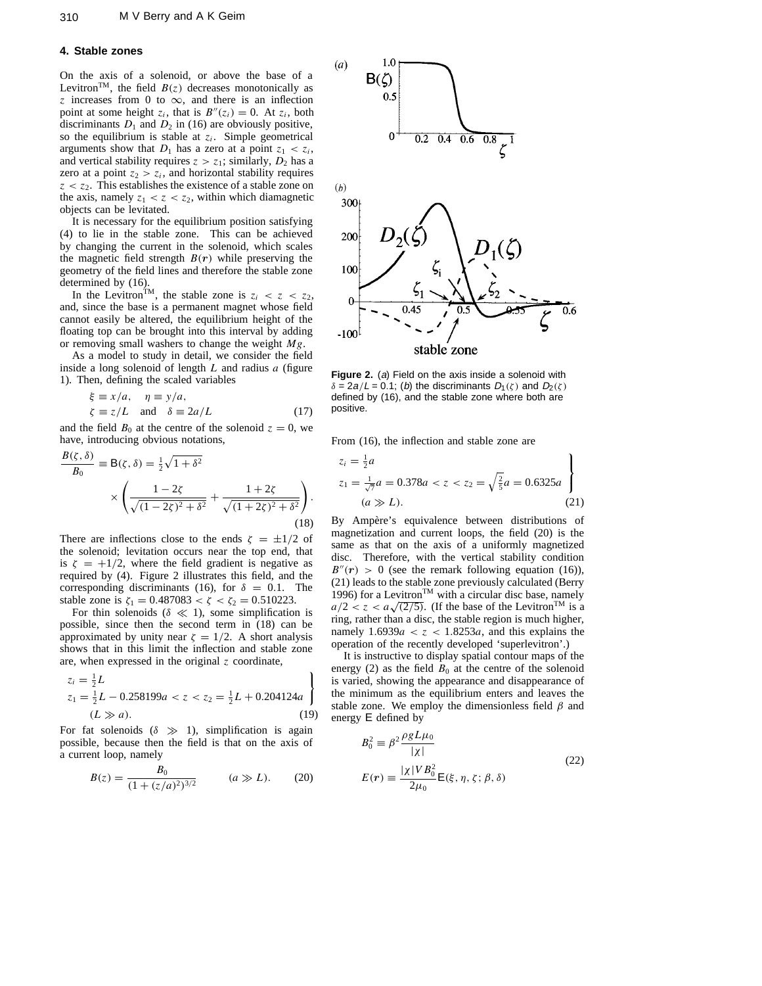#### **4. Stable zones**

On the axis of a solenoid, or above the base of a Levitron<sup>TM</sup>, the field  $B(z)$  decreases monotonically as *z* increases from 0 to  $\infty$ , and there is an inflection point at some height  $z_i$ , that is  $B''(z_i) = 0$ . At  $z_i$ , both discriminants  $D_1$  and  $D_2$  in (16) are obviously positive, so the equilibrium is stable at  $z_i$ . Simple geometrical arguments show that  $D_1$  has a zero at a point  $z_1 < z_i$ , and vertical stability requires  $z > z_1$ ; similarly,  $D_2$  has a zero at a point  $z_2 > z_i$ , and horizontal stability requires  $z < z<sub>2</sub>$ . This establishes the existence of a stable zone on the axis, namely  $z_1 < z < z_2$ , within which diamagnetic objects can be levitated.

It is necessary for the equilibrium position satisfying (4) to lie in the stable zone. This can be achieved by changing the current in the solenoid, which scales the magnetic field strength  $B(r)$  while preserving the geometry of the field lines and therefore the stable zone determined by (16).

In the Levitron<sup>TM</sup>, the stable zone is  $z_i < z < z_2$ , and, since the base is a permanent magnet whose field cannot easily be altered, the equilibrium height of the floating top can be brought into this interval by adding or removing small washers to change the weight *Mg*.

As a model to study in detail, we consider the field inside a long solenoid of length *L* and radius *a* (figure 1). Then, defining the scaled variables

$$
\xi \equiv x/a, \quad \eta \equiv y/a,\n\zeta \equiv z/L \quad \text{and} \quad \delta \equiv 2a/L
$$
\n(17)

and the field  $B_0$  at the centre of the solenoid  $z = 0$ , we have, introducing obvious notations,

$$
\frac{B(\zeta,\delta)}{B_0} \equiv \mathsf{B}(\zeta,\delta) = \frac{1}{2}\sqrt{1+\delta^2} \times \left(\frac{1-2\zeta}{\sqrt{(1-2\zeta)^2+\delta^2}} + \frac{1+2\zeta}{\sqrt{(1+2\zeta)^2+\delta^2}}\right).
$$
\n(18)

There are inflections close to the ends  $\zeta = \pm 1/2$  of the solenoid; levitation occurs near the top end, that is  $\zeta = +1/2$ , where the field gradient is negative as required by (4). Figure 2 illustrates this field, and the corresponding discriminants (16), for  $\delta = 0.1$ . The stable zone is  $\zeta_1 = 0.487083 < \zeta < \zeta_2 = 0.510223$ .

For thin solenoids ( $\delta \ll 1$ ), some simplification is possible, since then the second term in (18) can be approximated by unity near  $\zeta = 1/2$ . A short analysis shows that in this limit the inflection and stable zone are, when expressed in the original *z* coordinate,

$$
z_i = \frac{1}{2}L
$$
  
\n
$$
z_1 = \frac{1}{2}L - 0.258199a < z < z_2 = \frac{1}{2}L + 0.204124a
$$
  
\n
$$
(L \gg a). \tag{19}
$$

For fat solenoids  $(\delta \gg 1)$ , simplification is again possible, because then the field is that on the axis of a current loop, namely

$$
B(z) = \frac{B_0}{(1 + (z/a)^2)^{3/2}} \qquad (a \gg L). \tag{20}
$$



**Figure 2.** (a) Field on the axis inside a solenoid with  $\delta = 2a/L = 0.1$ ; (b) the discriminants  $D_1(\zeta)$  and  $D_2(\zeta)$ defined by (16), and the stable zone where both are positive.

From (16), the inflection and stable zone are

$$
z_i = \frac{1}{2}a
$$
  
\n
$$
z_1 = \frac{1}{\sqrt{7}}a = 0.378a < z < z_2 = \sqrt{\frac{2}{5}}a = 0.6325a
$$
  
\n
$$
(a \gg L). \tag{21}
$$

By Ampère's equivalence between distributions of magnetization and current loops, the field (20) is the same as that on the axis of a uniformly magnetized disc. Therefore, with the vertical stability condition  $B''(r) > 0$  (see the remark following equation (16)), (21) leads to the stable zone previously calculated (Berry 1996) for a Levitron<sup>TM</sup> with a circular disc base, namely  $a/2 < z < a\sqrt{(2/5)}$ . (If the base of the Levitron<sup>TM</sup> is a ring, rather than a disc, the stable region is much higher, namely  $1.6939a < z < 1.8253a$ , and this explains the operation of the recently developed 'superlevitron'.)

It is instructive to display spatial contour maps of the energy (2) as the field  $B_0$  at the centre of the solenoid is varied, showing the appearance and disappearance of the minimum as the equilibrium enters and leaves the stable zone. We employ the dimensionless field *β* and energy E defined by

$$
B_0^2 \equiv \beta^2 \frac{\rho g L \mu_0}{|\chi|} E(r) \equiv \frac{|\chi| V B_0^2}{2\mu_0} E(\xi, \eta, \zeta; \beta, \delta)
$$
(22)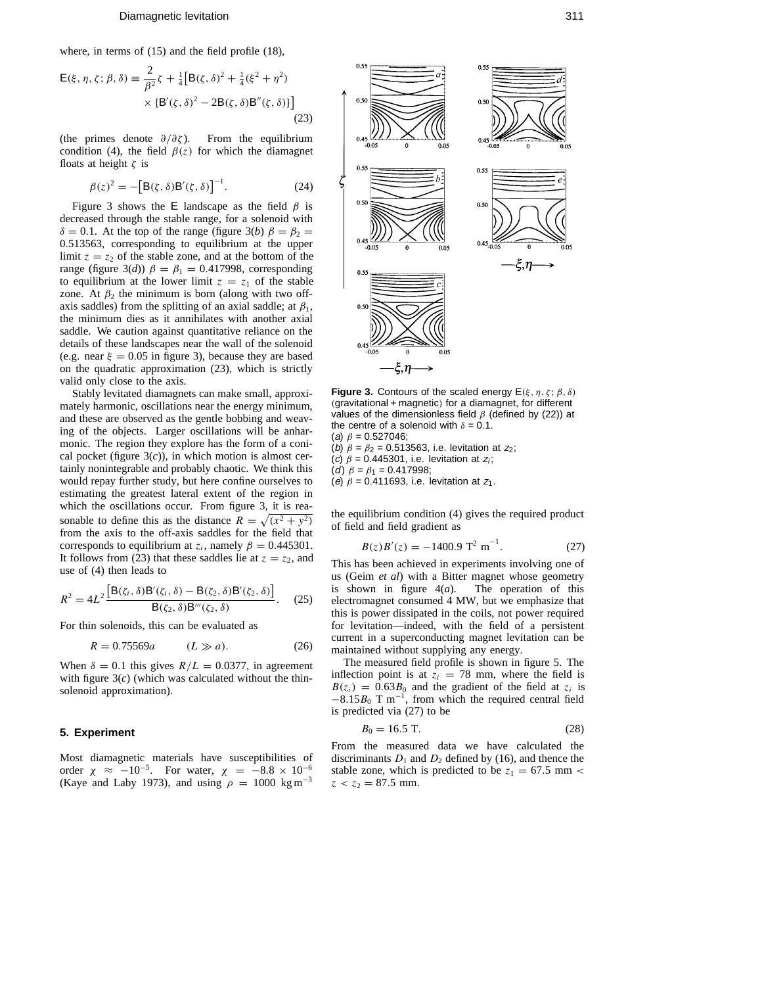#### Diamagnetic levitation 311

where, in terms of (15) and the field profile (18),

$$
\mathsf{E}(\xi, \eta, \zeta; \beta, \delta) \equiv \frac{2}{\beta^2} \zeta + \frac{1}{4} [\mathsf{B}(\zeta, \delta)^2 + \frac{1}{4} (\xi^2 + \eta^2) \times {\{\mathsf{B}'(\zeta, \delta)^2 - 2\mathsf{B}(\zeta, \delta)\mathsf{B}''(\zeta, \delta)\}}] \tag{23}
$$

(the primes denote *∂/∂ζ* ). From the equilibrium condition (4), the field  $\beta(z)$  for which the diamagnet floats at height *ζ* is

$$
\beta(z)^{2} = -\left[\mathbf{B}(\zeta,\delta)\mathbf{B}'(\zeta,\delta)\right]^{-1}.\tag{24}
$$

Figure 3 shows the E landscape as the field  $\beta$  is decreased through the stable range, for a solenoid with *δ* = 0.1. At the top of the range (figure 3(*b*)  $β = β<sub>2</sub>$  = 0*.*513563, corresponding to equilibrium at the upper limit  $z = z_2$  of the stable zone, and at the bottom of the range (figure 3(*d*))  $\beta = \beta_1 = 0.417998$ , corresponding to equilibrium at the lower limit  $z = z_1$  of the stable zone. At  $\beta_2$  the minimum is born (along with two offaxis saddles) from the splitting of an axial saddle; at  $\beta_1$ , the minimum dies as it annihilates with another axial saddle. We caution against quantitative reliance on the details of these landscapes near the wall of the solenoid (e.g. near  $\xi = 0.05$  in figure 3), because they are based on the quadratic approximation (23), which is strictly valid only close to the axis.

Stably levitated diamagnets can make small, approximately harmonic, oscillations near the energy minimum, and these are observed as the gentle bobbing and weaving of the objects. Larger oscillations will be anharmonic. The region they explore has the form of a conical pocket (figure  $3(c)$ ), in which motion is almost certainly nonintegrable and probably chaotic. We think this would repay further study, but here confine ourselves to estimating the greatest lateral extent of the region in which the oscillations occur. From figure 3, it is reasonable to define this as the distance  $\overline{R} = \sqrt{(x^2 + y^2)}$ from the axis to the off-axis saddles for the field that corresponds to equilibrium at  $z_i$ , namely  $\beta = 0.445301$ . It follows from (23) that these saddles lie at  $z = z_2$ , and use of (4) then leads to

$$
R^{2} = 4L^{2} \frac{\left[B(\zeta_{i}, \delta)B'(\zeta_{i}, \delta) - B(\zeta_{2}, \delta)B'(\zeta_{2}, \delta)\right]}{B(\zeta_{2}, \delta)B''(\zeta_{2}, \delta)}.
$$
 (25)

For thin solenoids, this can be evaluated as

$$
R = 0.75569a
$$
  $(L \gg a).$  (26)

When  $\delta = 0.1$  this gives  $R/L = 0.0377$ , in agreement with figure 3(*c*) (which was calculated without the thinsolenoid approximation).

# **5. Experiment**

Most diamagnetic materials have susceptibilities of order  $\chi \approx -10^{-5}$ . For water,  $\chi = -8.8 \times 10^{-6}$ (Kaye and Laby 1973), and using  $\rho = 1000 \text{ kg m}^{-3}$ 



 $0.55$ 

**Figure 3.** Contours of the scaled energy E*(ξ , η, ζ* ; *β, δ) (*gravitational + magnetic*)* for a diamagnet, for different values of the dimensionless field *β* (defined by (22)) at the centre of a solenoid with  $\delta = 0.1$ . (a) *β* = 0*.*527046;

- (b)  $\beta = \beta_2 = 0.513563$ , i.e. levitation at  $z_2$ ;
- (c)  $\beta$  = 0.445301, i.e. levitation at  $z_i$ ;
- (d)  $\beta = \beta_1 = 0.417998$ ;

 $0.50$ 

(e)  $\beta = 0.411693$ , i.e. levitation at  $z_1$ .

the equilibrium condition (4) gives the required product of field and field gradient as

$$
B(z)B'(z) = -1400.9 \, \text{T}^2 \, \text{m}^{-1}.\tag{27}
$$

This has been achieved in experiments involving one of us (Geim *et al*) with a Bitter magnet whose geometry is shown in figure  $4(a)$ . The operation of this is shown in figure  $4(a)$ . electromagnet consumed 4 MW, but we emphasize that this is power dissipated in the coils, not power required for levitation—indeed, with the field of a persistent current in a superconducting magnet levitation can be maintained without supplying any energy.

The measured field profile is shown in figure 5. The inflection point is at  $z_i = 78$  mm, where the field is  $B(z_i) = 0.63B_0$  and the gradient of the field at  $z_i$  is  $-8.15B_0$  T m<sup>-1</sup>, from which the required central field is predicted via (27) to be

$$
B_0 = 16.5 \text{ T.} \tag{28}
$$

From the measured data we have calculated the discriminants  $D_1$  and  $D_2$  defined by (16), and thence the stable zone, which is predicted to be  $z_1 = 67.5$  mm <  $z < z_2 = 87.5$  mm.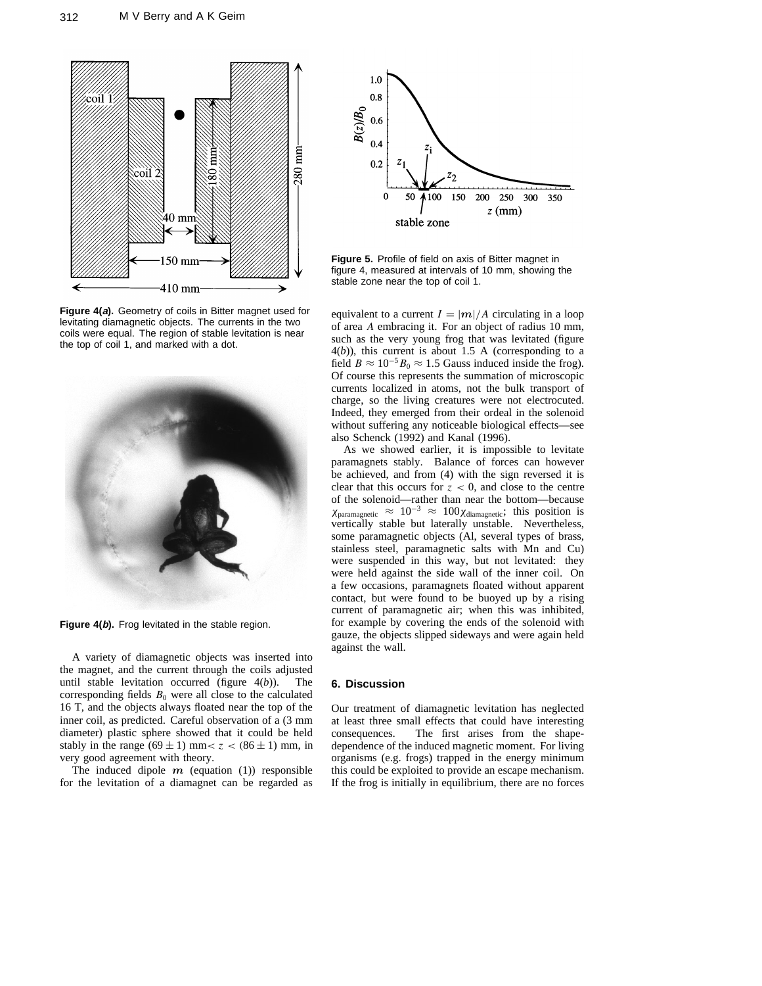

**Figure 4(a).** Geometry of coils in Bitter magnet used for levitating diamagnetic objects. The currents in the two coils were equal. The region of stable levitation is near the top of coil 1, and marked with a dot.



**Figure 4(b).** Frog levitated in the stable region.

A variety of diamagnetic objects was inserted into the magnet, and the current through the coils adjusted until stable levitation occurred (figure 4(*b*)). The corresponding fields  $B_0$  were all close to the calculated 16 T, and the objects always floated near the top of the inner coil, as predicted. Careful observation of a (3 mm diameter) plastic sphere showed that it could be held stably in the range  $(69 \pm 1)$  mm $< z < (86 \pm 1)$  mm, in very good agreement with theory.

The induced dipole  $m$  (equation (1)) responsible for the levitation of a diamagnet can be regarded as



**Figure 5.** Profile of field on axis of Bitter magnet in figure 4, measured at intervals of 10 mm, showing the stable zone near the top of coil 1.

equivalent to a current  $I = |m|/A$  circulating in a loop of area *A* embracing it. For an object of radius 10 mm, such as the very young frog that was levitated (figure  $4(b)$ ), this current is about 1.5 A (corresponding to a field  $B \approx 10^{-5} B_0 \approx 1.5$  Gauss induced inside the frog). Of course this represents the summation of microscopic currents localized in atoms, not the bulk transport of charge, so the living creatures were not electrocuted. Indeed, they emerged from their ordeal in the solenoid without suffering any noticeable biological effects—see also Schenck (1992) and Kanal (1996).

As we showed earlier, it is impossible to levitate paramagnets stably. Balance of forces can however be achieved, and from (4) with the sign reversed it is clear that this occurs for  $z < 0$ , and close to the centre of the solenoid—rather than near the bottom—because *χ*paramagnetic ≈ 10<sup>−</sup><sup>3</sup> ≈ 100*χ*diamagnetic; this position is vertically stable but laterally unstable. Nevertheless, some paramagnetic objects (Al, several types of brass, stainless steel, paramagnetic salts with Mn and Cu) were suspended in this way, but not levitated: they were held against the side wall of the inner coil. On a few occasions, paramagnets floated without apparent contact, but were found to be buoyed up by a rising current of paramagnetic air; when this was inhibited, for example by covering the ends of the solenoid with gauze, the objects slipped sideways and were again held against the wall.

### **6. Discussion**

Our treatment of diamagnetic levitation has neglected at least three small effects that could have interesting consequences. The first arises from the shapedependence of the induced magnetic moment. For living organisms (e.g. frogs) trapped in the energy minimum this could be exploited to provide an escape mechanism. If the frog is initially in equilibrium, there are no forces